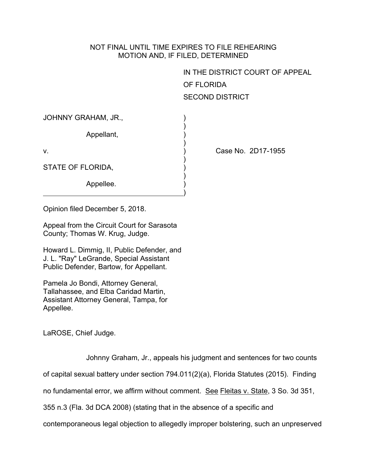## NOT FINAL UNTIL TIME EXPIRES TO FILE REHEARING MOTION AND, IF FILED, DETERMINED

)

)

)

)

)

IN THE DISTRICT COURT OF APPEAL OF FLORIDA SECOND DISTRICT

| JOHNNY GRAHAM, JR., |  |
|---------------------|--|
|---------------------|--|

Appellant, (a)

STATE OF FLORIDA,

Appellee.

v. ) Case No. 2D17-1955

Opinion filed December 5, 2018.

Appeal from the Circuit Court for Sarasota County; Thomas W. Krug, Judge.

Howard L. Dimmig, II, Public Defender, and J. L. "Ray" LeGrande, Special Assistant Public Defender, Bartow, for Appellant.

Pamela Jo Bondi, Attorney General, Tallahassee, and Elba Caridad Martin, Assistant Attorney General, Tampa, for Appellee.

LaROSE, Chief Judge.

Johnny Graham, Jr., appeals his judgment and sentences for two counts

of capital sexual battery under section 794.011(2)(a), Florida Statutes (2015). Finding

no fundamental error, we affirm without comment. See Fleitas v. State, 3 So. 3d 351,

355 n.3 (Fla. 3d DCA 2008) (stating that in the absence of a specific and

contemporaneous legal objection to allegedly improper bolstering, such an unpreserved